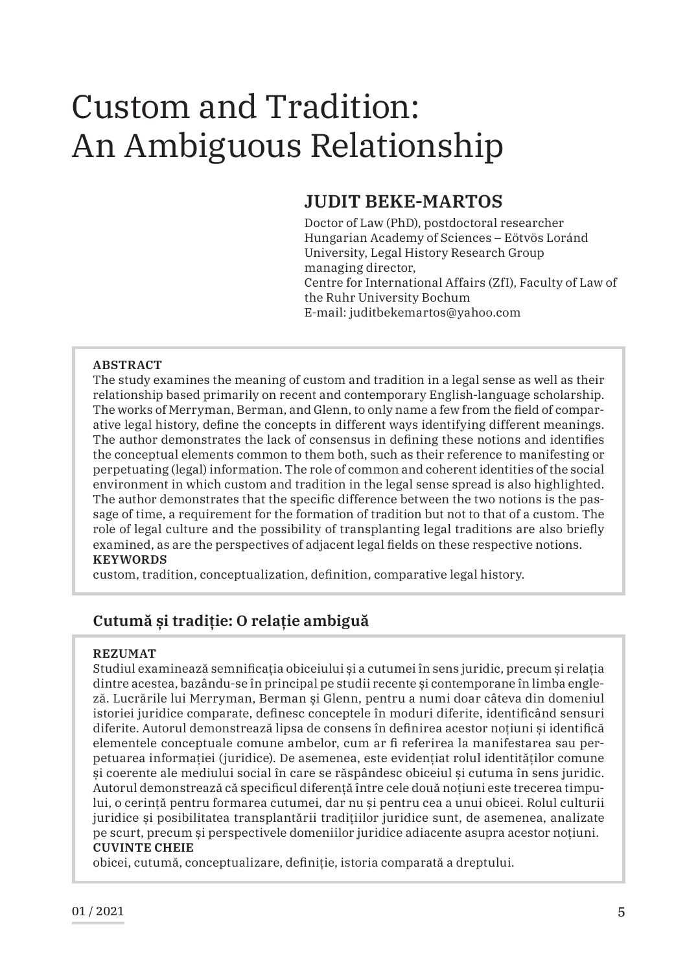# Custom and Tradition: An Ambiguous Relationship

## **JUDIT BEKE-MARTOS**

Doctor of Law (PhD), postdoctoral researcher Hungarian Academy of Sciences – Eötvös Loránd University, Legal History Research Group managing director, Centre for International Affairs (ZfI), Faculty of Law of the Ruhr University Bochum E-mail: juditbekemartos@yahoo.com

#### **ABSTRACT**

The study examines the meaning of custom and tradition in a legal sense as well as their relationship based primarily on recent and contemporary English-language scholarship. The works of Merryman, Berman, and Glenn, to only name a few from the field of comparative legal history, define the concepts in different ways identifying different meanings. The author demonstrates the lack of consensus in defining these notions and identifies the conceptual elements common to them both, such as their reference to manifesting or perpetuating (legal) information. The role of common and coherent identities of the social environment in which custom and tradition in the legal sense spread is also highlighted. The author demonstrates that the specific difference between the two notions is the passage of time, a requirement for the formation of tradition but not to that of a custom. The role of legal culture and the possibility of transplanting legal traditions are also briefly examined, as are the perspectives of adjacent legal fields on these respective notions. **KEYWORDS**

custom, tradition, conceptualization, definition, comparative legal history.

## **Cutumă și tradiție: O relație ambiguă**

#### **REZUMAT**

Studiul examinează semnificația obiceiului și a cutumei în sens juridic, precum și relația dintre acestea, bazându-se în principal pe studii recente și contemporane în limba engleză. Lucrările lui Merryman, Berman și Glenn, pentru a numi doar câteva din domeniul istoriei juridice comparate, definesc conceptele în moduri diferite, identificând sensuri diferite. Autorul demonstrează lipsa de consens în definirea acestor noțiuni și identifică elementele conceptuale comune ambelor, cum ar fi referirea la manifestarea sau perpetuarea informației (juridice). De asemenea, este evidențiat rolul identităților comune și coerente ale mediului social în care se răspândesc obiceiul și cutuma în sens juridic. Autorul demonstrează că specificul diferență între cele două noțiuni este trecerea timpului, o cerință pentru formarea cutumei, dar nu și pentru cea a unui obicei. Rolul culturii juridice și posibilitatea transplantării tradițiilor juridice sunt, de asemenea, analizate pe scurt, precum și perspectivele domeniilor juridice adiacente asupra acestor noțiuni. **CUVINTE CHEIE**

obicei, cutumă, conceptualizare, definiție, istoria comparată a dreptului.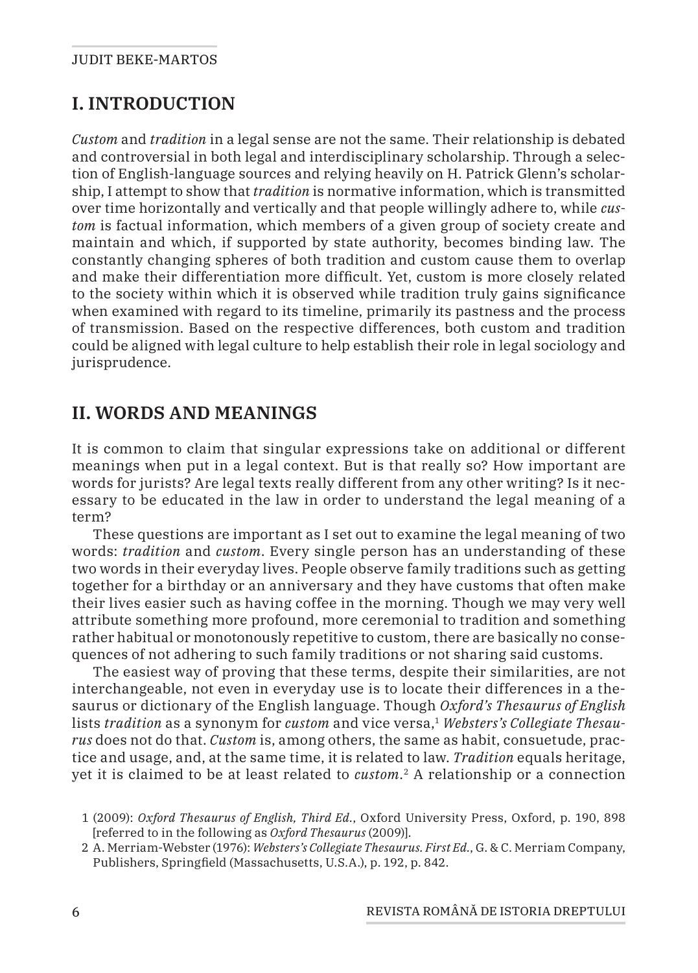# **I. INTRODUCTION**

*Custom* and *tradition* in a legal sense are not the same. Their relationship is debated and controversial in both legal and interdisciplinary scholarship. Through a selection of English-language sources and relying heavily on H. Patrick Glenn's scholarship, I attempt to show that *tradition* is normative information, which is transmitted over time horizontally and vertically and that people willingly adhere to, while *custom* is factual information, which members of a given group of society create and maintain and which, if supported by state authority, becomes binding law. The constantly changing spheres of both tradition and custom cause them to overlap and make their differentiation more difficult. Yet, custom is more closely related to the society within which it is observed while tradition truly gains significance when examined with regard to its timeline, primarily its pastness and the process of transmission. Based on the respective differences, both custom and tradition could be aligned with legal culture to help establish their role in legal sociology and jurisprudence.

## **II. WORDS AND MEANINGS**

It is common to claim that singular expressions take on additional or different meanings when put in a legal context. But is that really so? How important are words for jurists? Are legal texts really different from any other writing? Is it necessary to be educated in the law in order to understand the legal meaning of a term?

These questions are important as I set out to examine the legal meaning of two words: *tradition* and *custom*. Every single person has an understanding of these two words in their everyday lives. People observe family traditions such as getting together for a birthday or an anniversary and they have customs that often make their lives easier such as having coffee in the morning. Though we may very well attribute something more profound, more ceremonial to tradition and something rather habitual or monotonously repetitive to custom, there are basically no consequences of not adhering to such family traditions or not sharing said customs.

The easiest way of proving that these terms, despite their similarities, are not interchangeable, not even in everyday use is to locate their differences in a thesaurus or dictionary of the English language. Though *Oxford's Thesaurus of English* lists *tradition* as a synonym for *custom* and vice versa,<sup>1</sup> *Websters's Collegiate Thesaurus* does not do that. *Custom* is, among others, the same as habit, consuetude, practice and usage, and, at the same time, it is related to law. *Tradition* equals heritage, yet it is claimed to be at least related to *custom*. 2 A relationship or a connection

<sup>1</sup> (2009): *Oxford Thesaurus of English, Third Ed.*, Oxford University Press, Oxford, p. 190, 898 [referred to in the following as *Oxford Thesaurus* (2009)].

<sup>2</sup> A. Merriam-Webster (1976): *Websters's Collegiate Thesaurus. First Ed.*, G. & C. Merriam Company, Publishers, Springfield (Massachusetts, U.S.A.), p. 192, p. 842.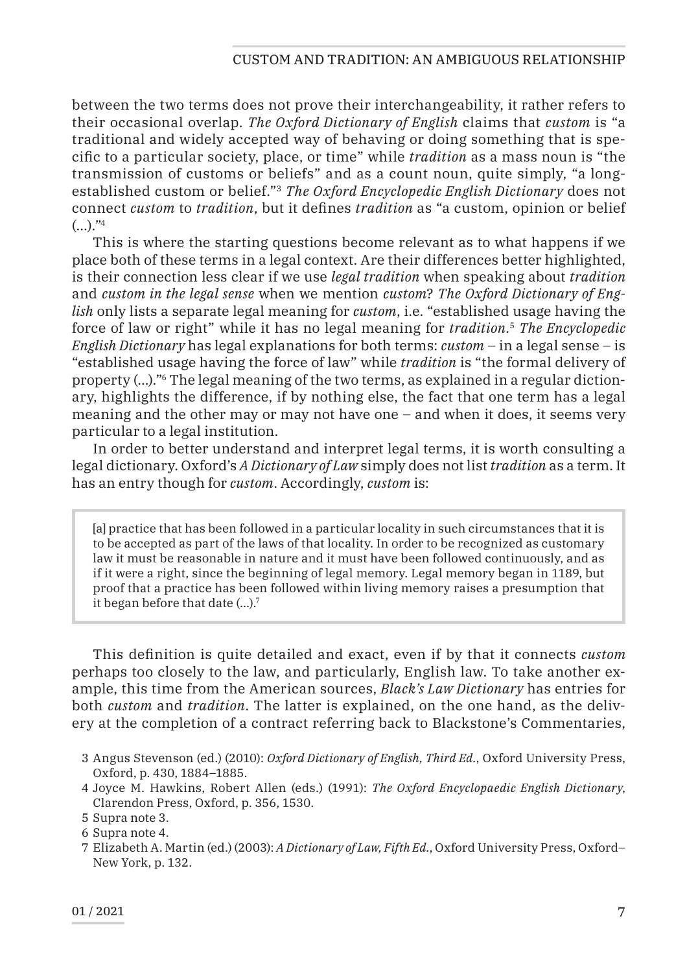#### Custom and Tradition: An Ambiguous Relationship

between the two terms does not prove their interchangeability, it rather refers to their occasional overlap. *The Oxford Dictionary of English* claims that *custom* is "a traditional and widely accepted way of behaving or doing something that is specific to a particular society, place, or time" while *tradition* as a mass noun is "the transmission of customs or beliefs" and as a count noun, quite simply, "a longestablished custom or belief."3 *The Oxford Encyclopedic English Dictionary* does not connect *custom* to *tradition*, but it defines *tradition* as "a custom, opinion or belief  $(...).$ "4

This is where the starting questions become relevant as to what happens if we place both of these terms in a legal context. Are their differences better highlighted, is their connection less clear if we use *legal tradition* when speaking about *tradition* and *custom in the legal sense* when we mention *custom*? *The Oxford Dictionary of English* only lists a separate legal meaning for *custom*, i.e. "established usage having the force of law or right" while it has no legal meaning for *tradition*. <sup>5</sup> *The Encyclopedic English Dictionary* has legal explanations for both terms: *custom* – in a legal sense – is "established usage having the force of law" while *tradition* is "the formal delivery of property (…)."6 The legal meaning of the two terms, as explained in a regular dictionary, highlights the difference, if by nothing else, the fact that one term has a legal meaning and the other may or may not have one – and when it does, it seems very particular to a legal institution.

In order to better understand and interpret legal terms, it is worth consulting a legal dictionary. Oxford's *A Dictionary of Law* simply does not list *tradition* as a term. It has an entry though for *custom*. Accordingly, *custom* is:

[a] practice that has been followed in a particular locality in such circumstances that it is to be accepted as part of the laws of that locality. In order to be recognized as customary law it must be reasonable in nature and it must have been followed continuously, and as if it were a right, since the beginning of legal memory. Legal memory began in 1189, but proof that a practice has been followed within living memory raises a presumption that it began before that date (…).7

This definition is quite detailed and exact, even if by that it connects *custom* perhaps too closely to the law, and particularly, English law. To take another example, this time from the American sources, *Black's Law Dictionary* has entries for both *custom* and *tradition*. The latter is explained, on the one hand, as the delivery at the completion of a contract referring back to Blackstone's Commentaries,

- 3 Angus Stevenson (ed.) (2010): *Oxford Dictionary of English, Third Ed.*, Oxford University Press, Oxford, p. 430, 1884–1885.
- 4 Joyce M. Hawkins, Robert Allen (eds.) (1991): *The Oxford Encyclopaedic English Dictionary*, Clarendon Press, Oxford, p. 356, 1530.

<sup>5</sup> Supra note 3.

<sup>6</sup> Supra note 4.

<sup>7</sup> Elizabeth A. Martin (ed.) (2003): *A Dictionary of Law, Fifth Ed.*, Oxford University Press, Oxford– New York, p. 132.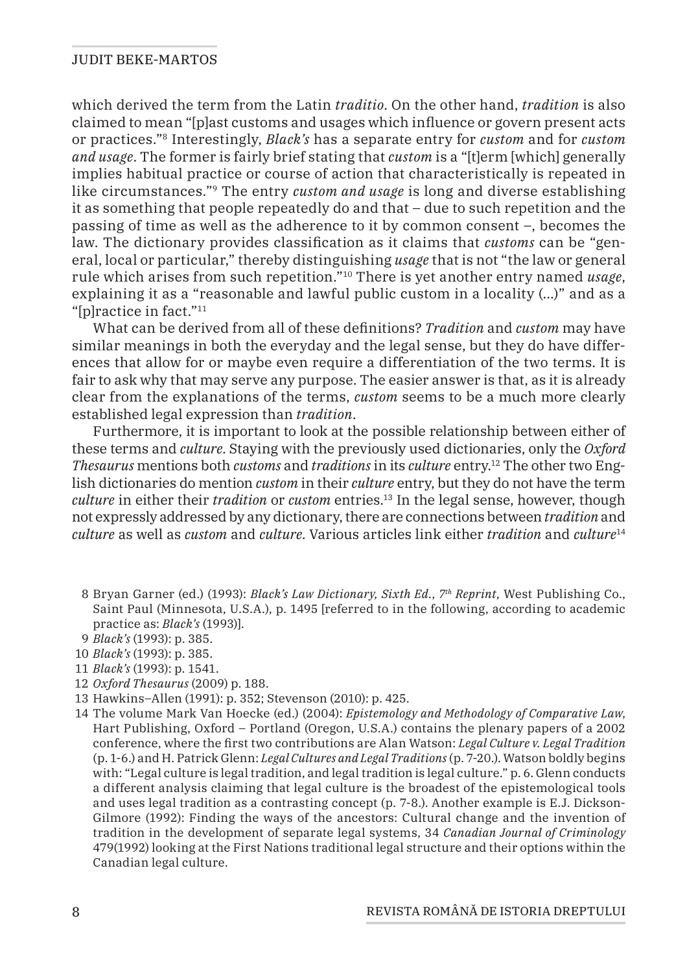which derived the term from the Latin *traditio*. On the other hand, *tradition* is also claimed to mean "[p]ast customs and usages which influence or govern present acts or practices."8 Interestingly, *Black's* has a separate entry for *custom* and for *custom and usage*. The former is fairly brief stating that *custom* is a "[t]erm [which] generally implies habitual practice or course of action that characteristically is repeated in like circumstances."9 The entry *custom and usage* is long and diverse establishing it as something that people repeatedly do and that – due to such repetition and the passing of time as well as the adherence to it by common consent –, becomes the law. The dictionary provides classification as it claims that *customs* can be "general, local or particular," thereby distinguishing *usage* that is not "the law or general rule which arises from such repetition."10 There is yet another entry named *usage*, explaining it as a "reasonable and lawful public custom in a locality (…)" and as a "[p]ractice in fact."11

What can be derived from all of these definitions? *Tradition* and *custom* may have similar meanings in both the everyday and the legal sense, but they do have differences that allow for or maybe even require a differentiation of the two terms. It is fair to ask why that may serve any purpose. The easier answer is that, as it is already clear from the explanations of the terms, *custom* seems to be a much more clearly established legal expression than *tradition*.

Furthermore, it is important to look at the possible relationship between either of these terms and *culture*. Staying with the previously used dictionaries, only the *Oxford Thesaurus* mentions both *customs* and *traditions* in its *culture* entry.12 The other two English dictionaries do mention *custom* in their *culture* entry, but they do not have the term *culture* in either their *tradition* or *custom* entries.13 In the legal sense, however, though not expressly addressed by any dictionary, there are connections between *tradition* and *culture* as well as *custom* and *culture*. Various articles link either *tradition* and *culture*<sup>14</sup>

- 8 Bryan Garner (ed.) (1993): *Black's Law Dictionary, Sixth Ed.*, *7th Reprint*, West Publishing Co., Saint Paul (Minnesota, U.S.A.), p. 1495 [referred to in the following, according to academic practice as: *Black's* (1993)].
- 9 *Black's* (1993): p. 385.
- 10 *Black's* (1993): p. 385.
- 11 *Black's* (1993): p. 1541.
- 12 *Oxford Thesaurus* (2009) p. 188.
- 13 Hawkins–Allen (1991): p. 352; Stevenson (2010): p. 425.
- 14 The volume Mark Van Hoecke (ed.) (2004): *Epistemology and Methodology of Comparative Law*, Hart Publishing, Oxford – Portland (Oregon, U.S.A.) contains the plenary papers of a 2002 conference, where the first two contributions are Alan Watson: *Legal Culture v. Legal Tradition* (p. 1-6.) and H. Patrick Glenn: *Legal Cultures and Legal Traditions* (p. 7-20.). Watson boldly begins with: "Legal culture is legal tradition, and legal tradition is legal culture." p. 6. Glenn conducts a different analysis claiming that legal culture is the broadest of the epistemological tools and uses legal tradition as a contrasting concept (p. 7-8.). Another example is E.J. Dickson-Gilmore (1992): Finding the ways of the ancestors: Cultural change and the invention of tradition in the development of separate legal systems, 34 *Canadian Journal of Criminology* 479(1992) looking at the First Nations traditional legal structure and their options within the Canadian legal culture.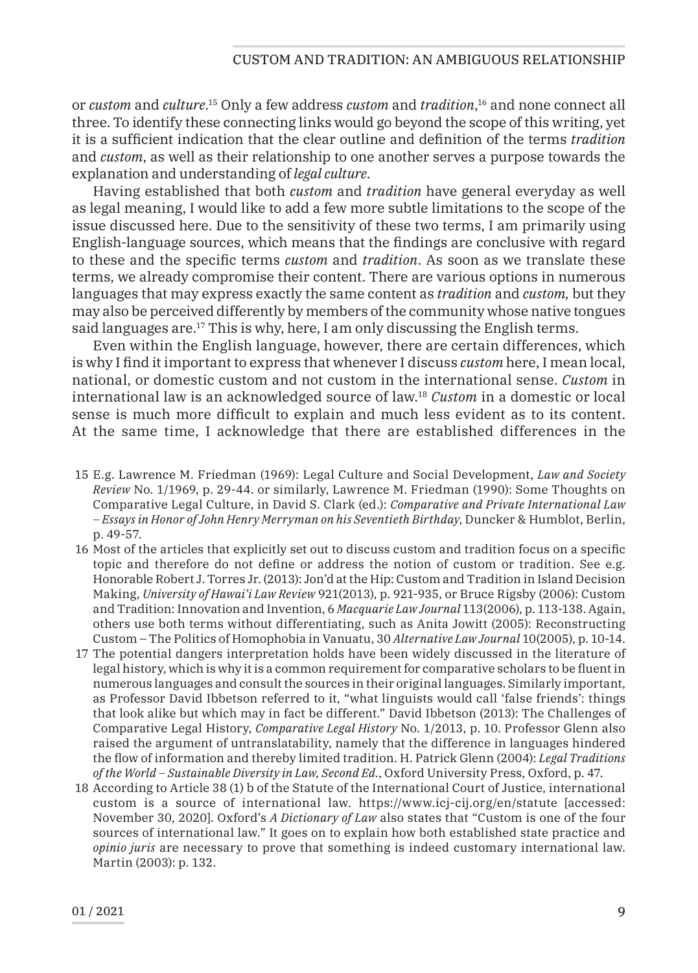or *custom* and *culture*. 15 Only a few address *custom* and *tradition*, 16 and none connect all three. To identify these connecting links would go beyond the scope of this writing, yet it is a sufficient indication that the clear outline and definition of the terms *tradition* and *custom*, as well as their relationship to one another serves a purpose towards the explanation and understanding of *legal culture*.

Having established that both *custom* and *tradition* have general everyday as well as legal meaning, I would like to add a few more subtle limitations to the scope of the issue discussed here. Due to the sensitivity of these two terms, I am primarily using English-language sources, which means that the findings are conclusive with regard to these and the specific terms *custom* and *tradition*. As soon as we translate these terms, we already compromise their content. There are various options in numerous languages that may express exactly the same content as *tradition* and *custom,* but they may also be perceived differently by members of the community whose native tongues said languages are.17 This is why, here, I am only discussing the English terms.

Even within the English language, however, there are certain differences, which is why I find it important to express that whenever I discuss *custom* here, I mean local, national, or domestic custom and not custom in the international sense. *Custom* in international law is an acknowledged source of law.18 *Custom* in a domestic or local sense is much more difficult to explain and much less evident as to its content. At the same time, I acknowledge that there are established differences in the

- 15 E.g. Lawrence M. Friedman (1969): Legal Culture and Social Development, *Law and Society Review* No. 1/1969, p. 29-44. or similarly, Lawrence M. Friedman (1990): Some Thoughts on Comparative Legal Culture, in David S. Clark (ed.): *Comparative and Private International Law – Essays in Honor of John Henry Merryman on his Seventieth Birthday*, Duncker & Humblot, Berlin, p. 49-57.
- 16 Most of the articles that explicitly set out to discuss custom and tradition focus on a specific topic and therefore do not define or address the notion of custom or tradition. See e.g. Honorable Robert J. Torres Jr. (2013): Jon'd at the Hip: Custom and Tradition in Island Decision Making, *University of Hawai'i Law Review* 921(2013), p. 921-935, or Bruce Rigsby (2006): Custom and Tradition: Innovation and Invention, 6 *Macquarie Law Journal* 113(2006), p. 113-138. Again, others use both terms without differentiating, such as Anita Jowitt (2005): Reconstructing Custom – The Politics of Homophobia in Vanuatu, 30 *Alternative Law Journal* 10(2005), p. 10-14.
- 17 The potential dangers interpretation holds have been widely discussed in the literature of legal history, which is why it is a common requirement for comparative scholars to be fluent in numerous languages and consult the sources in their original languages. Similarly important, as Professor David Ibbetson referred to it, "what linguists would call 'false friends': things that look alike but which may in fact be different." David Ibbetson (2013): The Challenges of Comparative Legal History, *Comparative Legal History* No. 1/2013, p. 10. Professor Glenn also raised the argument of untranslatability, namely that the difference in languages hindered the flow of information and thereby limited tradition. H. Patrick Glenn (2004): *Legal Traditions of the World – Sustainable Diversity in Law, Second Ed.*, Oxford University Press, Oxford, p. 47.
- 18 According to Article 38 (1) b of the Statute of the International Court of Justice, international custom is a source of international law. https://www.icj-cij.org/en/statute [accessed: November 30, 2020]. Oxford's *A Dictionary of Law* also states that "Custom is one of the four sources of international law." It goes on to explain how both established state practice and *opinio juris* are necessary to prove that something is indeed customary international law. Martin (2003): p. 132.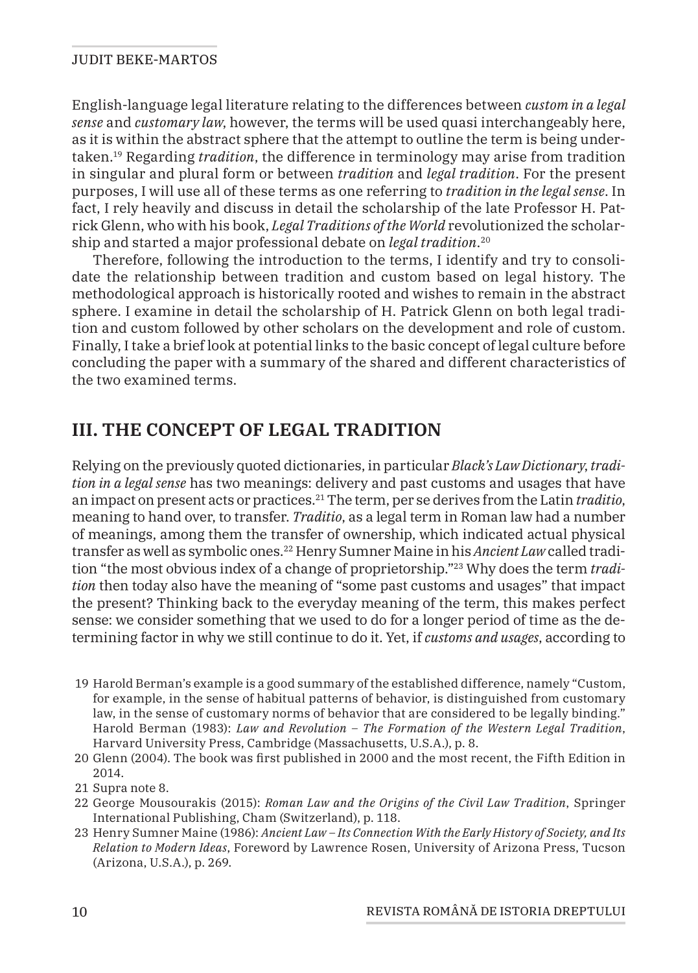English-language legal literature relating to the differences between *custom in a legal sense* and *customary law*, however, the terms will be used quasi interchangeably here, as it is within the abstract sphere that the attempt to outline the term is being undertaken.19 Regarding *tradition*, the difference in terminology may arise from tradition in singular and plural form or between *tradition* and *legal tradition*. For the present purposes, I will use all of these terms as one referring to *tradition in the legal sense*. In fact, I rely heavily and discuss in detail the scholarship of the late Professor H. Patrick Glenn, who with his book, *Legal Traditions of the World* revolutionized the scholarship and started a major professional debate on *legal tradition*. 20

Therefore, following the introduction to the terms, I identify and try to consolidate the relationship between tradition and custom based on legal history. The methodological approach is historically rooted and wishes to remain in the abstract sphere. I examine in detail the scholarship of H. Patrick Glenn on both legal tradition and custom followed by other scholars on the development and role of custom. Finally, I take a brief look at potential links to the basic concept of legal culture before concluding the paper with a summary of the shared and different characteristics of the two examined terms.

## **III. THE CONCEPT OF LEGAL TRADITION**

Relying on the previously quoted dictionaries, in particular *Black's Law Dictionary*, *tradition in a legal sense* has two meanings: delivery and past customs and usages that have an impact on present acts or practices.21 The term, per se derives from the Latin *traditio*, meaning to hand over, to transfer. *Traditio*, as a legal term in Roman law had a number of meanings, among them the transfer of ownership, which indicated actual physical transfer as well as symbolic ones.22 Henry Sumner Maine in his *Ancient Law* called tradition "the most obvious index of a change of proprietorship."23 Why does the term *tradition* then today also have the meaning of "some past customs and usages" that impact the present? Thinking back to the everyday meaning of the term, this makes perfect sense: we consider something that we used to do for a longer period of time as the determining factor in why we still continue to do it. Yet, if *customs and usages*, according to

- 19 Harold Berman's example is a good summary of the established difference, namely "Custom, for example, in the sense of habitual patterns of behavior, is distinguished from customary law, in the sense of customary norms of behavior that are considered to be legally binding." Harold Berman (1983): *Law and Revolution – The Formation of the Western Legal Tradition*, Harvard University Press, Cambridge (Massachusetts, U.S.A.), p. 8.
- 20 Glenn (2004). The book was first published in 2000 and the most recent, the Fifth Edition in 2014.
- 21 Supra note 8.
- 22 George Mousourakis (2015): *Roman Law and the Origins of the Civil Law Tradition*, Springer International Publishing, Cham (Switzerland), p. 118.
- 23 Henry Sumner Maine (1986): *Ancient Law Its Connection With the Early History of Society, and Its Relation to Modern Ideas*, Foreword by Lawrence Rosen, University of Arizona Press, Tucson (Arizona, U.S.A.), p. 269.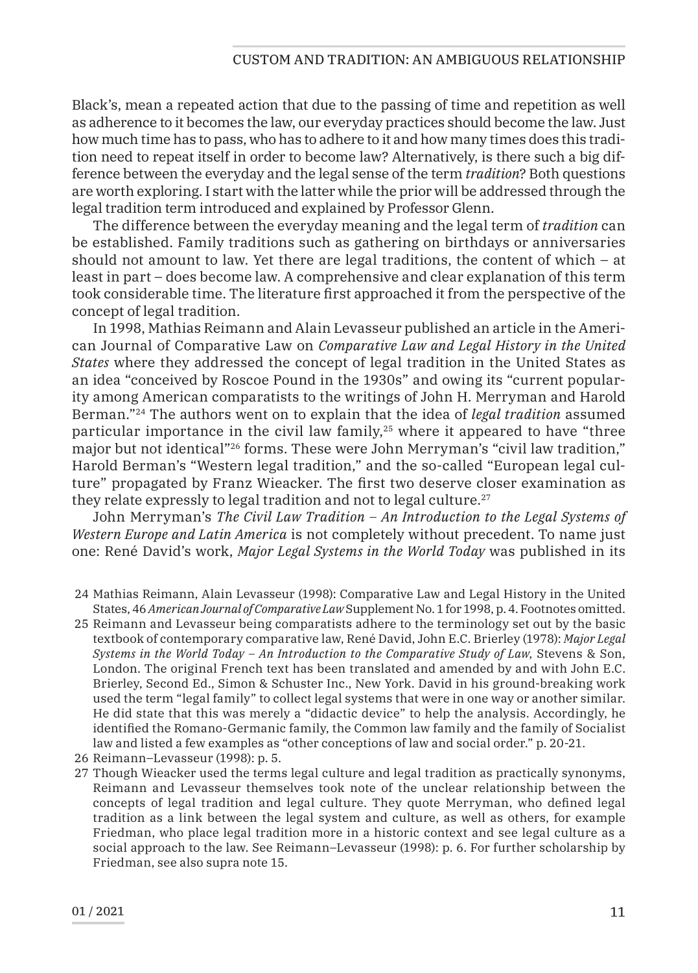Black's, mean a repeated action that due to the passing of time and repetition as well as adherence to it becomes the law, our everyday practices should become the law. Just how much time has to pass, who has to adhere to it and how many times does this tradition need to repeat itself in order to become law? Alternatively, is there such a big difference between the everyday and the legal sense of the term *tradition*? Both questions are worth exploring. I start with the latter while the prior will be addressed through the legal tradition term introduced and explained by Professor Glenn.

The difference between the everyday meaning and the legal term of *tradition* can be established. Family traditions such as gathering on birthdays or anniversaries should not amount to law. Yet there are legal traditions, the content of which – at least in part – does become law. A comprehensive and clear explanation of this term took considerable time. The literature first approached it from the perspective of the concept of legal tradition.

In 1998, Mathias Reimann and Alain Levasseur published an article in the American Journal of Comparative Law on *Comparative Law and Legal History in the United States* where they addressed the concept of legal tradition in the United States as an idea "conceived by Roscoe Pound in the 1930s" and owing its "current popularity among American comparatists to the writings of John H. Merryman and Harold Berman."24 The authors went on to explain that the idea of *legal tradition* assumed particular importance in the civil law family,25 where it appeared to have "three major but not identical"26 forms. These were John Merryman's "civil law tradition," Harold Berman's "Western legal tradition," and the so-called "European legal culture" propagated by Franz Wieacker. The first two deserve closer examination as they relate expressly to legal tradition and not to legal culture.<sup>27</sup>

John Merryman's *The Civil Law Tradition – An Introduction to the Legal Systems of Western Europe and Latin America* is not completely without precedent. To name just one: René David's work, *Major Legal Systems in the World Today* was published in its

- 24 Mathias Reimann, Alain Levasseur (1998): Comparative Law and Legal History in the United States, 46 *American Journal of Comparative Law* Supplement No. 1 for 1998, p. 4. Footnotes omitted.
- 25 Reimann and Levasseur being comparatists adhere to the terminology set out by the basic textbook of contemporary comparative law, René David, John E.C. Brierley (1978): *Major Legal Systems in the World Today – An Introduction to the Comparative Study of Law*, Stevens & Son, London. The original French text has been translated and amended by and with John E.C. Brierley, Second Ed., Simon & Schuster Inc., New York. David in his ground-breaking work used the term "legal family" to collect legal systems that were in one way or another similar. He did state that this was merely a "didactic device" to help the analysis. Accordingly, he identified the Romano-Germanic family, the Common law family and the family of Socialist law and listed a few examples as "other conceptions of law and social order." p. 20-21.
- 26 Reimann–Levasseur (1998): p. 5.
- 27 Though Wieacker used the terms legal culture and legal tradition as practically synonyms, Reimann and Levasseur themselves took note of the unclear relationship between the concepts of legal tradition and legal culture. They quote Merryman, who defined legal tradition as a link between the legal system and culture, as well as others, for example Friedman, who place legal tradition more in a historic context and see legal culture as a social approach to the law. See Reimann–Levasseur (1998): p. 6. For further scholarship by Friedman, see also supra note 15.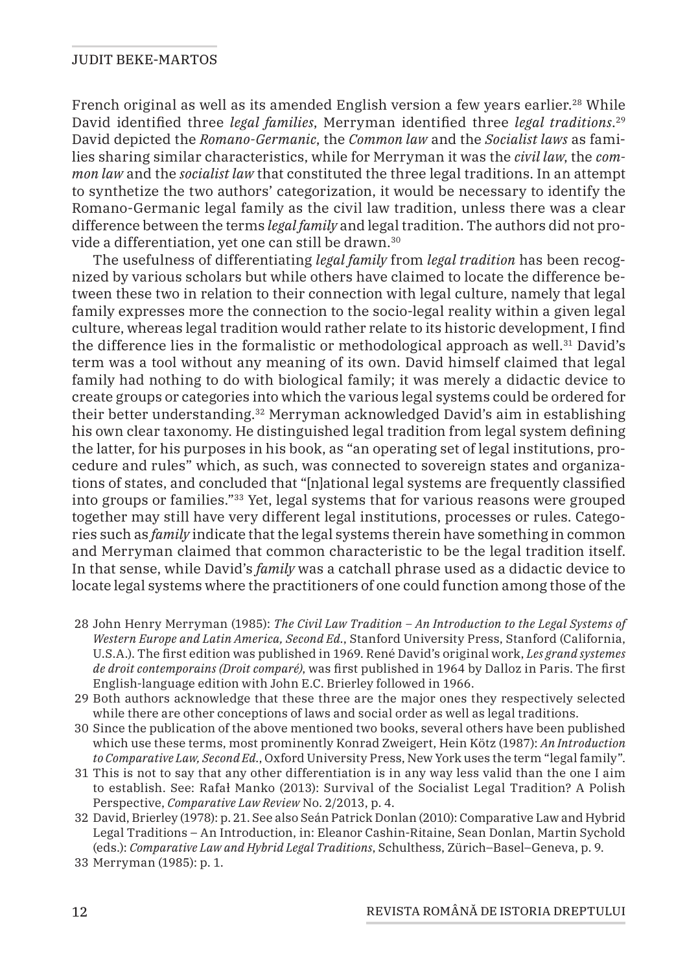French original as well as its amended English version a few years earlier.<sup>28</sup> While David identified three *legal families*, Merryman identified three *legal traditions*. 29 David depicted the *Romano-Germanic*, the *Common law* and the *Socialist laws* as families sharing similar characteristics, while for Merryman it was the *civil law*, the *common law* and the *socialist law* that constituted the three legal traditions. In an attempt to synthetize the two authors' categorization, it would be necessary to identify the Romano-Germanic legal family as the civil law tradition, unless there was a clear difference between the terms *legal family* and legal tradition. The authors did not provide a differentiation, yet one can still be drawn.<sup>30</sup>

The usefulness of differentiating *legal family* from *legal tradition* has been recognized by various scholars but while others have claimed to locate the difference between these two in relation to their connection with legal culture, namely that legal family expresses more the connection to the socio-legal reality within a given legal culture, whereas legal tradition would rather relate to its historic development, I find the difference lies in the formalistic or methodological approach as well.<sup>31</sup> David's term was a tool without any meaning of its own. David himself claimed that legal family had nothing to do with biological family; it was merely a didactic device to create groups or categories into which the various legal systems could be ordered for their better understanding.32 Merryman acknowledged David's aim in establishing his own clear taxonomy. He distinguished legal tradition from legal system defining the latter, for his purposes in his book, as "an operating set of legal institutions, procedure and rules" which, as such, was connected to sovereign states and organizations of states, and concluded that "[n]ational legal systems are frequently classified into groups or families."33 Yet, legal systems that for various reasons were grouped together may still have very different legal institutions, processes or rules. Categories such as *family* indicate that the legal systems therein have something in common and Merryman claimed that common characteristic to be the legal tradition itself. In that sense, while David's *family* was a catchall phrase used as a didactic device to locate legal systems where the practitioners of one could function among those of the

- 28 John Henry Merryman (1985): *The Civil Law Tradition An Introduction to the Legal Systems of Western Europe and Latin America, Second Ed.*, Stanford University Press, Stanford (California, U.S.A.). The first edition was published in 1969. René David's original work, *Les grand systemes de droit contemporains (Droit comparé)*, was first published in 1964 by Dalloz in Paris. The first English-language edition with John E.C. Brierley followed in 1966.
- 29 Both authors acknowledge that these three are the major ones they respectively selected while there are other conceptions of laws and social order as well as legal traditions.
- 30 Since the publication of the above mentioned two books, several others have been published which use these terms, most prominently Konrad Zweigert, Hein Kötz (1987): *An Introduction to Comparative Law, Second Ed.*, Oxford University Press, New York uses the term "legal family".
- 31 This is not to say that any other differentiation is in any way less valid than the one I aim to establish. See: Rafał Manko (2013): Survival of the Socialist Legal Tradition? A Polish Perspective, *Comparative Law Review* No. 2/2013, p. 4.
- 32 David, Brierley (1978): p. 21. See also Seán Patrick Donlan (2010): Comparative Law and Hybrid Legal Traditions – An Introduction, in: Eleanor Cashin-Ritaine, Sean Donlan, Martin Sychold (eds.): *Comparative Law and Hybrid Legal Traditions*, Schulthess, Zürich–Basel–Geneva, p. 9.
- 33 Merryman (1985): p. 1.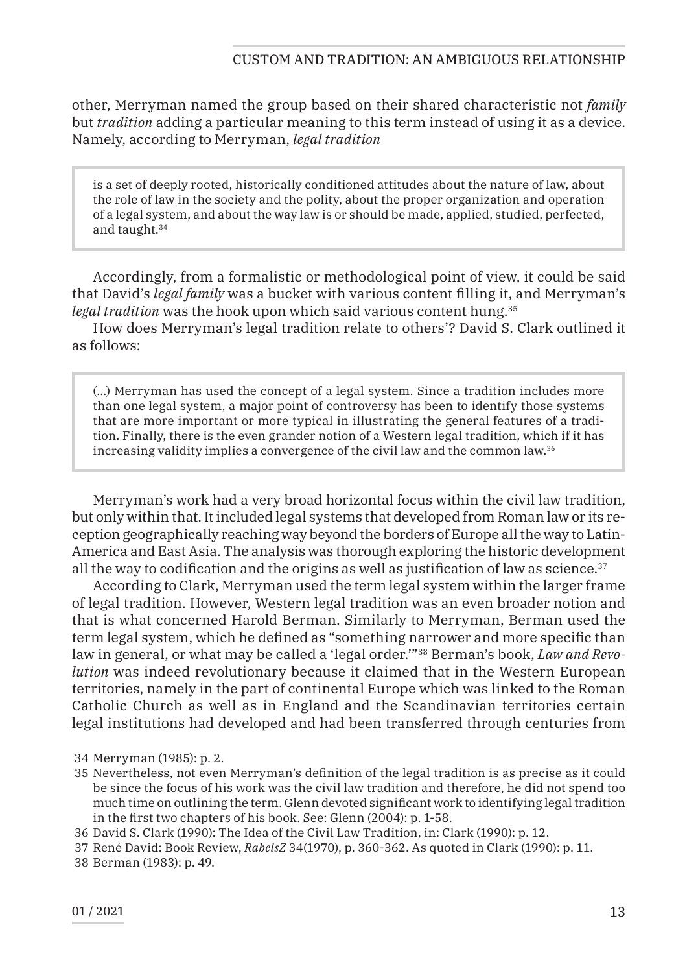other, Merryman named the group based on their shared characteristic not *family* but *tradition* adding a particular meaning to this term instead of using it as a device. Namely, according to Merryman, *legal tradition*

is a set of deeply rooted, historically conditioned attitudes about the nature of law, about the role of law in the society and the polity, about the proper organization and operation of a legal system, and about the way law is or should be made, applied, studied, perfected, and taught.34

Accordingly, from a formalistic or methodological point of view, it could be said that David's *legal family* was a bucket with various content filling it, and Merryman's legal tradition was the hook upon which said various content hung.<sup>35</sup>

How does Merryman's legal tradition relate to others'? David S. Clark outlined it as follows:

(…) Merryman has used the concept of a legal system. Since a tradition includes more than one legal system, a major point of controversy has been to identify those systems that are more important or more typical in illustrating the general features of a tradition. Finally, there is the even grander notion of a Western legal tradition, which if it has increasing validity implies a convergence of the civil law and the common law.36

Merryman's work had a very broad horizontal focus within the civil law tradition, but only within that. It included legal systems that developed from Roman law or its reception geographically reaching way beyond the borders of Europe all the way to Latin-America and East Asia. The analysis was thorough exploring the historic development all the way to codification and the origins as well as justification of law as science. $37$ 

According to Clark, Merryman used the term legal system within the larger frame of legal tradition. However, Western legal tradition was an even broader notion and that is what concerned Harold Berman. Similarly to Merryman, Berman used the term legal system, which he defined as "something narrower and more specific than law in general, or what may be called a 'legal order.'"38 Berman's book, *Law and Revolution* was indeed revolutionary because it claimed that in the Western European territories, namely in the part of continental Europe which was linked to the Roman Catholic Church as well as in England and the Scandinavian territories certain legal institutions had developed and had been transferred through centuries from

- 35 Nevertheless, not even Merryman's definition of the legal tradition is as precise as it could be since the focus of his work was the civil law tradition and therefore, he did not spend too much time on outlining the term. Glenn devoted significant work to identifying legal tradition in the first two chapters of his book. See: Glenn (2004): p. 1-58.
- 36 David S. Clark (1990): The Idea of the Civil Law Tradition, in: Clark (1990): p. 12.
- 37 René David: Book Review, *RabelsZ* 34(1970), p. 360-362. As quoted in Clark (1990): p. 11.
- 38 Berman (1983): p. 49.

<sup>34</sup> Merryman (1985): p. 2.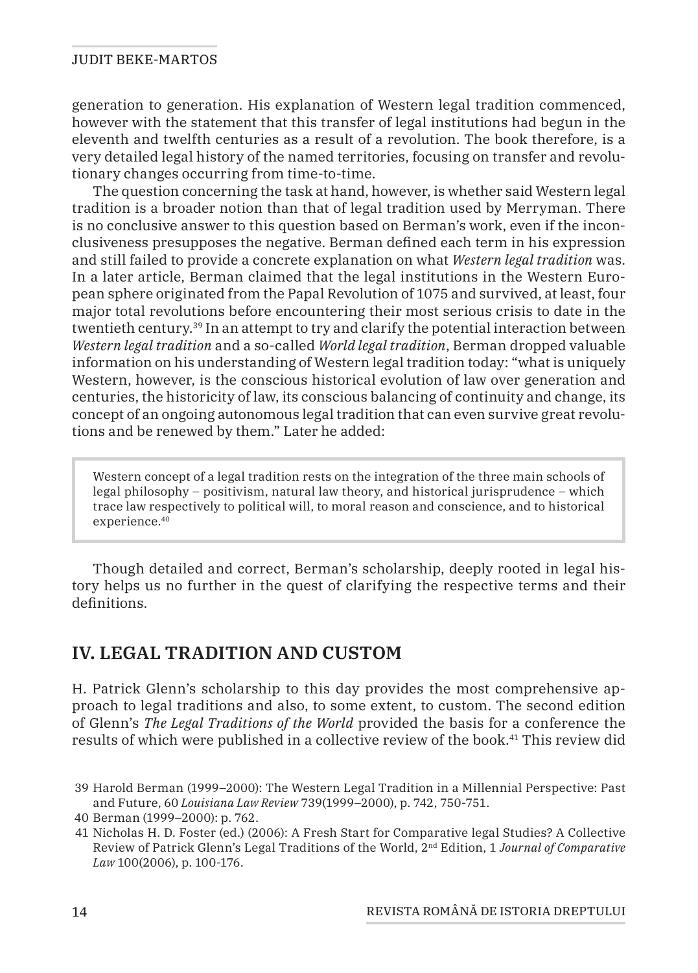generation to generation. His explanation of Western legal tradition commenced, however with the statement that this transfer of legal institutions had begun in the eleventh and twelfth centuries as a result of a revolution. The book therefore, is a very detailed legal history of the named territories, focusing on transfer and revolutionary changes occurring from time-to-time.

The question concerning the task at hand, however, is whether said Western legal tradition is a broader notion than that of legal tradition used by Merryman. There is no conclusive answer to this question based on Berman's work, even if the inconclusiveness presupposes the negative. Berman defined each term in his expression and still failed to provide a concrete explanation on what *Western legal tradition* was. In a later article, Berman claimed that the legal institutions in the Western European sphere originated from the Papal Revolution of 1075 and survived, at least, four major total revolutions before encountering their most serious crisis to date in the twentieth century.39 In an attempt to try and clarify the potential interaction between *Western legal tradition* and a so-called *World legal tradition*, Berman dropped valuable information on his understanding of Western legal tradition today: "what is uniquely Western, however, is the conscious historical evolution of law over generation and centuries, the historicity of law, its conscious balancing of continuity and change, its concept of an ongoing autonomous legal tradition that can even survive great revolutions and be renewed by them." Later he added:

Western concept of a legal tradition rests on the integration of the three main schools of legal philosophy – positivism, natural law theory, and historical jurisprudence – which trace law respectively to political will, to moral reason and conscience, and to historical experience.40

Though detailed and correct, Berman's scholarship, deeply rooted in legal history helps us no further in the quest of clarifying the respective terms and their definitions.

# **IV. LEGAL TRADITION AND CUSTOM**

H. Patrick Glenn's scholarship to this day provides the most comprehensive approach to legal traditions and also, to some extent, to custom. The second edition of Glenn's *The Legal Traditions of the World* provided the basis for a conference the results of which were published in a collective review of the book.41 This review did

<sup>39</sup> Harold Berman (1999–2000): The Western Legal Tradition in a Millennial Perspective: Past and Future, 60 *Louisiana Law Review* 739(1999–2000), p. 742, 750-751.

<sup>40</sup> Berman (1999–2000): p. 762.

<sup>41</sup> Nicholas H. D. Foster (ed.) (2006): A Fresh Start for Comparative legal Studies? A Collective Review of Patrick Glenn's Legal Traditions of the World, 2nd Edition, 1 *Journal of Comparative Law* 100(2006), p. 100-176.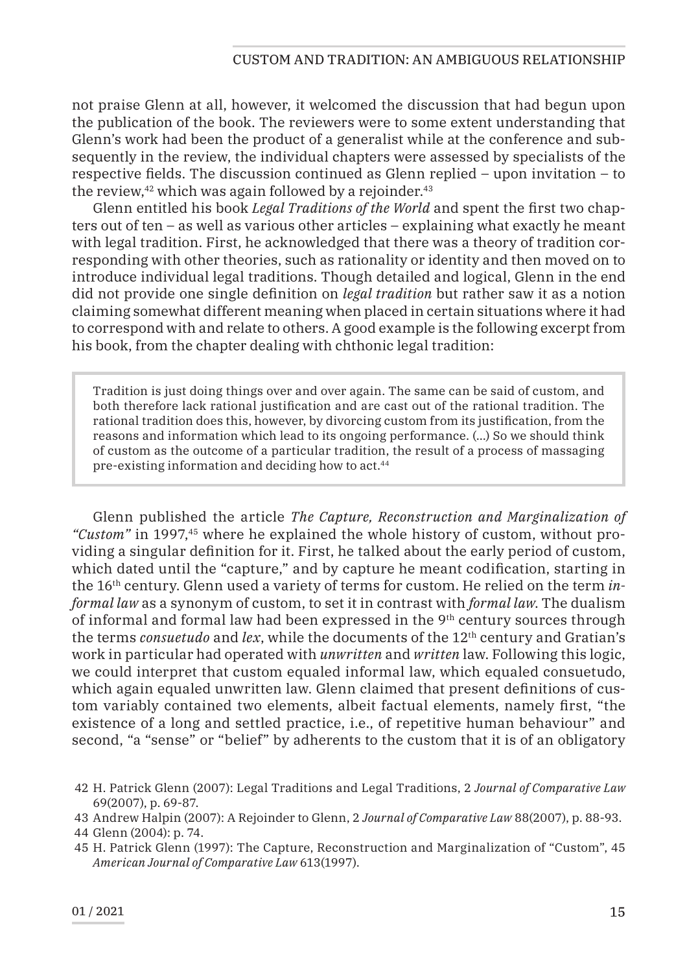not praise Glenn at all, however, it welcomed the discussion that had begun upon the publication of the book. The reviewers were to some extent understanding that Glenn's work had been the product of a generalist while at the conference and subsequently in the review, the individual chapters were assessed by specialists of the respective fields. The discussion continued as Glenn replied – upon invitation – to the review, $42$  which was again followed by a rejoinder. $43$ 

Glenn entitled his book *Legal Traditions of the World* and spent the first two chapters out of ten – as well as various other articles – explaining what exactly he meant with legal tradition. First, he acknowledged that there was a theory of tradition corresponding with other theories, such as rationality or identity and then moved on to introduce individual legal traditions. Though detailed and logical, Glenn in the end did not provide one single definition on *legal tradition* but rather saw it as a notion claiming somewhat different meaning when placed in certain situations where it had to correspond with and relate to others. A good example is the following excerpt from his book, from the chapter dealing with chthonic legal tradition:

Tradition is just doing things over and over again. The same can be said of custom, and both therefore lack rational justification and are cast out of the rational tradition. The rational tradition does this, however, by divorcing custom from its justification, from the reasons and information which lead to its ongoing performance. (…) So we should think of custom as the outcome of a particular tradition, the result of a process of massaging pre-existing information and deciding how to act.44

Glenn published the article *The Capture, Reconstruction and Marginalization of "Custom"* in 1997,45 where he explained the whole history of custom, without providing a singular definition for it. First, he talked about the early period of custom, which dated until the "capture," and by capture he meant codification, starting in the 16th century. Glenn used a variety of terms for custom. He relied on the term *informal law* as a synonym of custom, to set it in contrast with *formal law*. The dualism of informal and formal law had been expressed in the  $9<sup>th</sup>$  century sources through the terms *consuetudo* and *lex*, while the documents of the 12<sup>th</sup> century and Gratian's work in particular had operated with *unwritten* and *written* law. Following this logic, we could interpret that custom equaled informal law, which equaled consuetudo, which again equaled unwritten law. Glenn claimed that present definitions of custom variably contained two elements, albeit factual elements, namely first, "the existence of a long and settled practice, i.e., of repetitive human behaviour" and second, "a "sense" or "belief" by adherents to the custom that it is of an obligatory

<sup>42</sup> H. Patrick Glenn (2007): Legal Traditions and Legal Traditions, 2 *Journal of Comparative Law*  69(2007), p. 69-87.

<sup>43</sup> Andrew Halpin (2007): A Rejoinder to Glenn, 2 *Journal of Comparative Law* 88(2007), p. 88-93.

<sup>44</sup> Glenn (2004): p. 74.

<sup>45</sup> H. Patrick Glenn (1997): The Capture, Reconstruction and Marginalization of "Custom", 45 *American Journal of Comparative Law* 613(1997).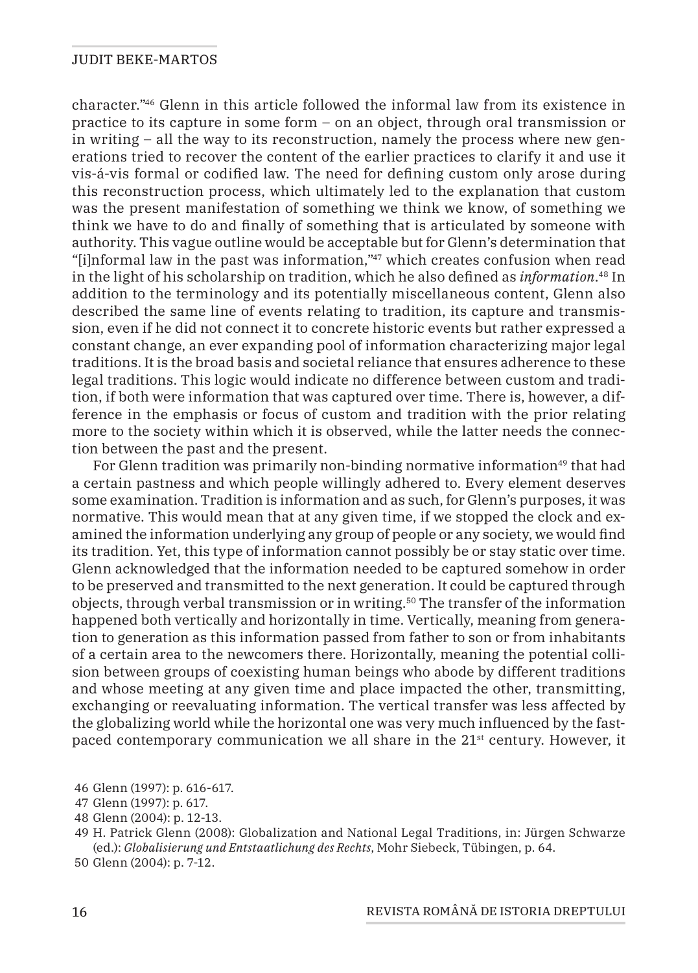character."46 Glenn in this article followed the informal law from its existence in practice to its capture in some form – on an object, through oral transmission or in writing – all the way to its reconstruction, namely the process where new generations tried to recover the content of the earlier practices to clarify it and use it vis-á-vis formal or codified law. The need for defining custom only arose during this reconstruction process, which ultimately led to the explanation that custom was the present manifestation of something we think we know, of something we think we have to do and finally of something that is articulated by someone with authority. This vague outline would be acceptable but for Glenn's determination that "[i]nformal law in the past was information,"47 which creates confusion when read in the light of his scholarship on tradition, which he also defined as *information*. 48 In addition to the terminology and its potentially miscellaneous content, Glenn also described the same line of events relating to tradition, its capture and transmission, even if he did not connect it to concrete historic events but rather expressed a constant change, an ever expanding pool of information characterizing major legal traditions. It is the broad basis and societal reliance that ensures adherence to these legal traditions. This logic would indicate no difference between custom and tradition, if both were information that was captured over time. There is, however, a difference in the emphasis or focus of custom and tradition with the prior relating more to the society within which it is observed, while the latter needs the connection between the past and the present.

For Glenn tradition was primarily non-binding normative information<sup>49</sup> that had a certain pastness and which people willingly adhered to. Every element deserves some examination. Tradition is information and as such, for Glenn's purposes, it was normative. This would mean that at any given time, if we stopped the clock and examined the information underlying any group of people or any society, we would find its tradition. Yet, this type of information cannot possibly be or stay static over time. Glenn acknowledged that the information needed to be captured somehow in order to be preserved and transmitted to the next generation. It could be captured through objects, through verbal transmission or in writing.<sup>50</sup> The transfer of the information happened both vertically and horizontally in time. Vertically, meaning from generation to generation as this information passed from father to son or from inhabitants of a certain area to the newcomers there. Horizontally, meaning the potential collision between groups of coexisting human beings who abode by different traditions and whose meeting at any given time and place impacted the other, transmitting, exchanging or reevaluating information. The vertical transfer was less affected by the globalizing world while the horizontal one was very much influenced by the fastpaced contemporary communication we all share in the 21st century. However, it

<sup>46</sup> Glenn (1997): p. 616-617.

<sup>47</sup> Glenn (1997): p. 617.

<sup>48</sup> Glenn (2004): p. 12-13.

<sup>49</sup> H. Patrick Glenn (2008): Globalization and National Legal Traditions, in: Jürgen Schwarze (ed.): *Globalisierung und Entstaatlichung des Rechts*, Mohr Siebeck, Tübingen, p. 64.

<sup>50</sup> Glenn (2004): p. 7-12.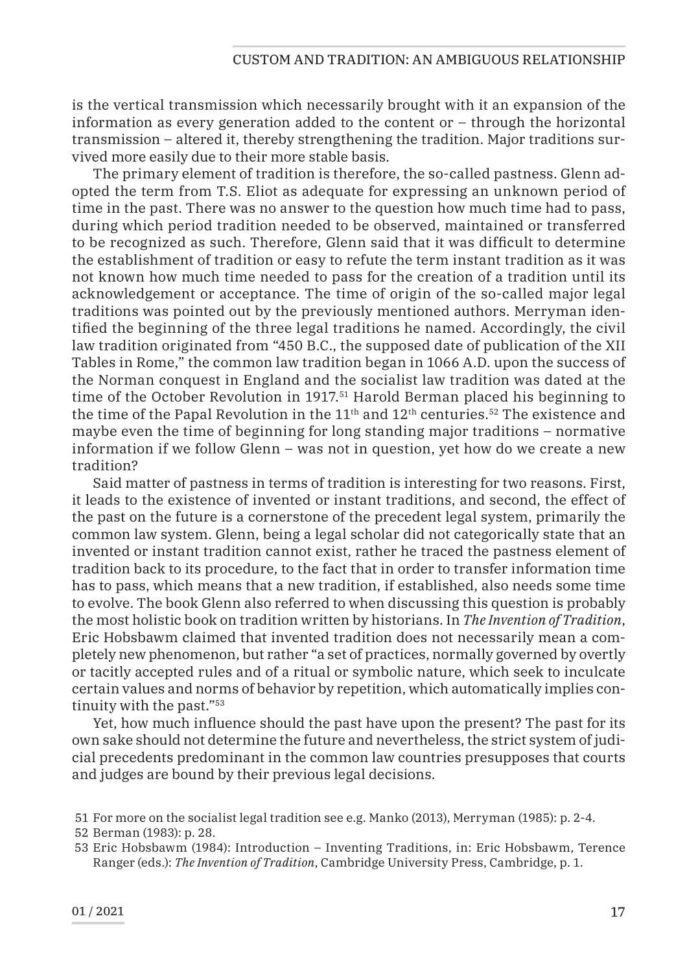is the vertical transmission which necessarily brought with it an expansion of the information as every generation added to the content or – through the horizontal transmission – altered it, thereby strengthening the tradition. Major traditions survived more easily due to their more stable basis.

The primary element of tradition is therefore, the so-called pastness. Glenn adopted the term from T.S. Eliot as adequate for expressing an unknown period of time in the past. There was no answer to the question how much time had to pass, during which period tradition needed to be observed, maintained or transferred to be recognized as such. Therefore, Glenn said that it was difficult to determine the establishment of tradition or easy to refute the term instant tradition as it was not known how much time needed to pass for the creation of a tradition until its acknowledgement or acceptance. The time of origin of the so-called major legal traditions was pointed out by the previously mentioned authors. Merryman identified the beginning of the three legal traditions he named. Accordingly, the civil law tradition originated from "450 B.C., the supposed date of publication of the XII Tables in Rome," the common law tradition began in 1066 A.D. upon the success of the Norman conquest in England and the socialist law tradition was dated at the time of the October Revolution in 1917.51 Harold Berman placed his beginning to the time of the Papal Revolution in the  $11<sup>th</sup>$  and  $12<sup>th</sup>$  centuries.<sup>52</sup> The existence and maybe even the time of beginning for long standing major traditions – normative information if we follow Glenn – was not in question, yet how do we create a new tradition?

Said matter of pastness in terms of tradition is interesting for two reasons. First, it leads to the existence of invented or instant traditions, and second, the effect of the past on the future is a cornerstone of the precedent legal system, primarily the common law system. Glenn, being a legal scholar did not categorically state that an invented or instant tradition cannot exist, rather he traced the pastness element of tradition back to its procedure, to the fact that in order to transfer information time has to pass, which means that a new tradition, if established, also needs some time to evolve. The book Glenn also referred to when discussing this question is probably the most holistic book on tradition written by historians. In *The Invention of Tradition*, Eric Hobsbawm claimed that invented tradition does not necessarily mean a completely new phenomenon, but rather "a set of practices, normally governed by overtly or tacitly accepted rules and of a ritual or symbolic nature, which seek to inculcate certain values and norms of behavior by repetition, which automatically implies continuity with the past."53

Yet, how much influence should the past have upon the present? The past for its own sake should not determine the future and nevertheless, the strict system of judicial precedents predominant in the common law countries presupposes that courts and judges are bound by their previous legal decisions.

<sup>51</sup> For more on the socialist legal tradition see e.g. Manko (2013), Merryman (1985): p. 2-4.

<sup>52</sup> Berman (1983): p. 28.

<sup>53</sup> Eric Hobsbawm (1984): Introduction – Inventing Traditions, in: Eric Hobsbawm, Terence Ranger (eds.): *The Invention of Tradition*, Cambridge University Press, Cambridge, p. 1.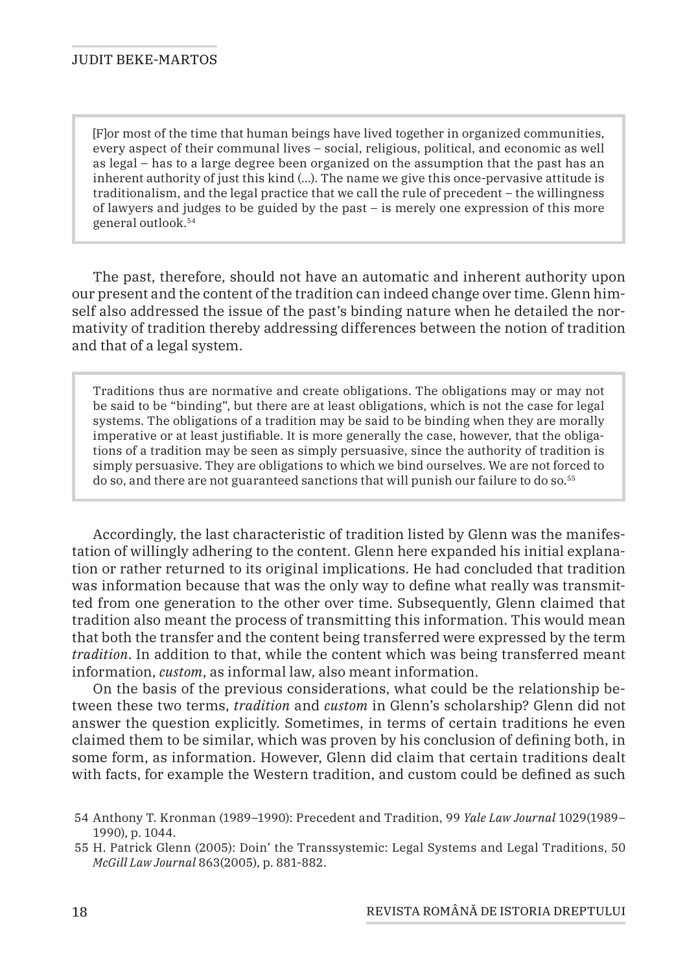[F]or most of the time that human beings have lived together in organized communities, every aspect of their communal lives – social, religious, political, and economic as well as legal – has to a large degree been organized on the assumption that the past has an inherent authority of just this kind (…). The name we give this once-pervasive attitude is traditionalism, and the legal practice that we call the rule of precedent – the willingness of lawyers and judges to be guided by the past – is merely one expression of this more general outlook.54

The past, therefore, should not have an automatic and inherent authority upon our present and the content of the tradition can indeed change over time. Glenn himself also addressed the issue of the past's binding nature when he detailed the normativity of tradition thereby addressing differences between the notion of tradition and that of a legal system.

Traditions thus are normative and create obligations. The obligations may or may not be said to be "binding", but there are at least obligations, which is not the case for legal systems. The obligations of a tradition may be said to be binding when they are morally imperative or at least justifiable. It is more generally the case, however, that the obligations of a tradition may be seen as simply persuasive, since the authority of tradition is simply persuasive. They are obligations to which we bind ourselves. We are not forced to do so, and there are not guaranteed sanctions that will punish our failure to do so.55

Accordingly, the last characteristic of tradition listed by Glenn was the manifestation of willingly adhering to the content. Glenn here expanded his initial explanation or rather returned to its original implications. He had concluded that tradition was information because that was the only way to define what really was transmitted from one generation to the other over time. Subsequently, Glenn claimed that tradition also meant the process of transmitting this information. This would mean that both the transfer and the content being transferred were expressed by the term *tradition*. In addition to that, while the content which was being transferred meant information, *custom*, as informal law, also meant information.

On the basis of the previous considerations, what could be the relationship between these two terms, *tradition* and *custom* in Glenn's scholarship? Glenn did not answer the question explicitly. Sometimes, in terms of certain traditions he even claimed them to be similar, which was proven by his conclusion of defining both, in some form, as information. However, Glenn did claim that certain traditions dealt with facts, for example the Western tradition, and custom could be defined as such

<sup>54</sup> Anthony T. Kronman (1989–1990): Precedent and Tradition, 99 *Yale Law Journal* 1029(1989– 1990), p. 1044.

<sup>55</sup> H. Patrick Glenn (2005): Doin' the Transsystemic: Legal Systems and Legal Traditions, 50 *McGill Law Journal* 863(2005), p. 881-882.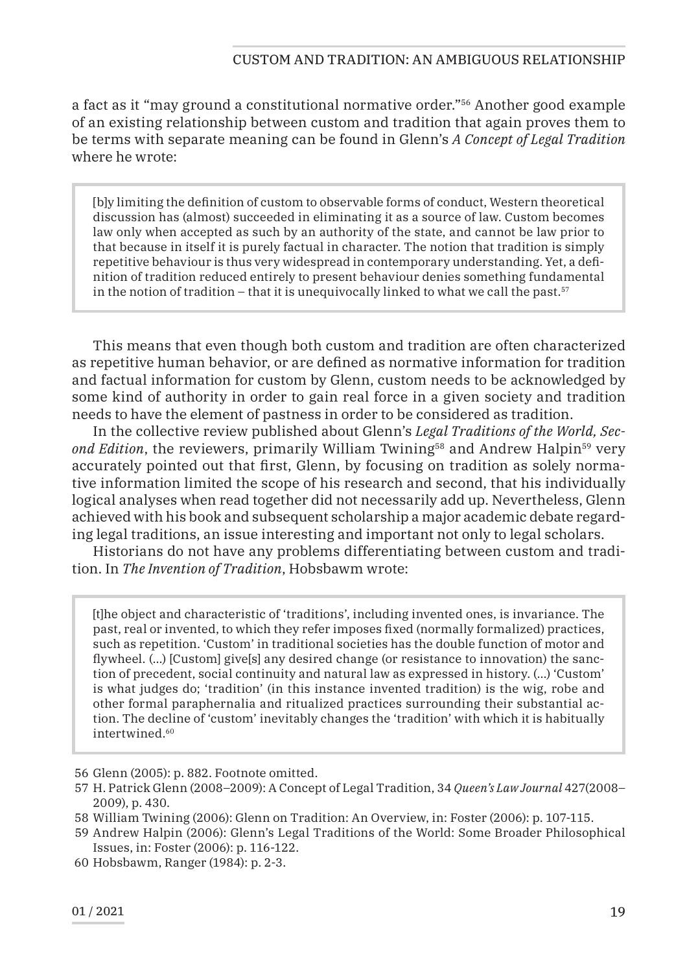a fact as it "may ground a constitutional normative order."56 Another good example of an existing relationship between custom and tradition that again proves them to be terms with separate meaning can be found in Glenn's *A Concept of Legal Tradition* where he wrote:

[b]y limiting the definition of custom to observable forms of conduct, Western theoretical discussion has (almost) succeeded in eliminating it as a source of law. Custom becomes law only when accepted as such by an authority of the state, and cannot be law prior to that because in itself it is purely factual in character. The notion that tradition is simply repetitive behaviour is thus very widespread in contemporary understanding. Yet, a definition of tradition reduced entirely to present behaviour denies something fundamental in the notion of tradition – that it is unequivocally linked to what we call the past.<sup>57</sup>

This means that even though both custom and tradition are often characterized as repetitive human behavior, or are defined as normative information for tradition and factual information for custom by Glenn, custom needs to be acknowledged by some kind of authority in order to gain real force in a given society and tradition needs to have the element of pastness in order to be considered as tradition.

In the collective review published about Glenn's *Legal Traditions of the World, Second Edition*, the reviewers, primarily William Twining<sup>58</sup> and Andrew Halpin<sup>59</sup> very accurately pointed out that first, Glenn, by focusing on tradition as solely normative information limited the scope of his research and second, that his individually logical analyses when read together did not necessarily add up. Nevertheless, Glenn achieved with his book and subsequent scholarship a major academic debate regarding legal traditions, an issue interesting and important not only to legal scholars.

Historians do not have any problems differentiating between custom and tradition. In *The Invention of Tradition*, Hobsbawm wrote:

[t]he object and characteristic of 'traditions', including invented ones, is invariance. The past, real or invented, to which they refer imposes fixed (normally formalized) practices, such as repetition. 'Custom' in traditional societies has the double function of motor and flywheel. (...) [Custom] give[s] any desired change (or resistance to innovation) the sanction of precedent, social continuity and natural law as expressed in history. (…) 'Custom' is what judges do; 'tradition' (in this instance invented tradition) is the wig, robe and other formal paraphernalia and ritualized practices surrounding their substantial action. The decline of 'custom' inevitably changes the 'tradition' with which it is habitually intertwined.<sup>60</sup>

<sup>56</sup> Glenn (2005): p. 882. Footnote omitted.

<sup>57</sup> H. Patrick Glenn (2008–2009): A Concept of Legal Tradition, 34 *Queen's Law Journal* 427(2008– 2009), p. 430.

<sup>58</sup> William Twining (2006): Glenn on Tradition: An Overview, in: Foster (2006): p. 107-115.

<sup>59</sup> Andrew Halpin (2006): Glenn's Legal Traditions of the World: Some Broader Philosophical Issues, in: Foster (2006): p. 116-122.

<sup>60</sup> Hobsbawm, Ranger (1984): p. 2-3.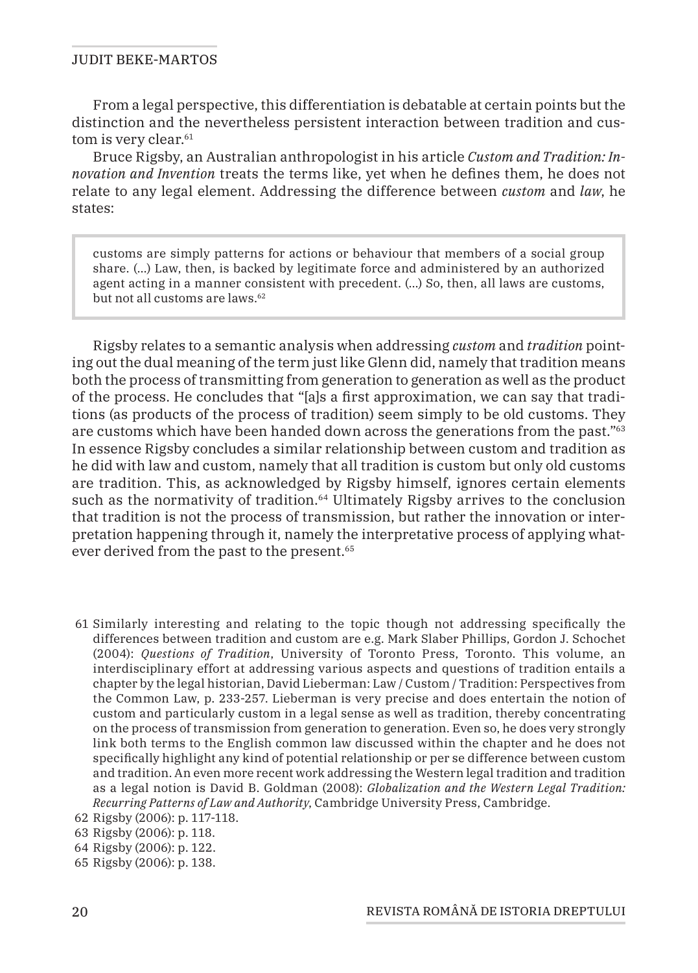From a legal perspective, this differentiation is debatable at certain points but the distinction and the nevertheless persistent interaction between tradition and custom is very clear.<sup>61</sup>

Bruce Rigsby, an Australian anthropologist in his article *Custom and Tradition: Innovation and Invention* treats the terms like, yet when he defines them, he does not relate to any legal element. Addressing the difference between *custom* and *law*, he states:

customs are simply patterns for actions or behaviour that members of a social group share. (…) Law, then, is backed by legitimate force and administered by an authorized agent acting in a manner consistent with precedent. (…) So, then, all laws are customs, but not all customs are laws.<sup>62</sup>

Rigsby relates to a semantic analysis when addressing *custom* and *tradition* pointing out the dual meaning of the term just like Glenn did, namely that tradition means both the process of transmitting from generation to generation as well as the product of the process. He concludes that "[a]s a first approximation, we can say that traditions (as products of the process of tradition) seem simply to be old customs. They are customs which have been handed down across the generations from the past."63 In essence Rigsby concludes a similar relationship between custom and tradition as he did with law and custom, namely that all tradition is custom but only old customs are tradition. This, as acknowledged by Rigsby himself, ignores certain elements such as the normativity of tradition.<sup>64</sup> Ultimately Rigsby arrives to the conclusion that tradition is not the process of transmission, but rather the innovation or interpretation happening through it, namely the interpretative process of applying whatever derived from the past to the present.<sup>65</sup>

61 Similarly interesting and relating to the topic though not addressing specifically the differences between tradition and custom are e.g. Mark Slaber Phillips, Gordon J. Schochet (2004): *Questions of Tradition*, University of Toronto Press, Toronto. This volume, an interdisciplinary effort at addressing various aspects and questions of tradition entails a chapter by the legal historian, David Lieberman: Law / Custom / Tradition: Perspectives from the Common Law, p. 233-257. Lieberman is very precise and does entertain the notion of custom and particularly custom in a legal sense as well as tradition, thereby concentrating on the process of transmission from generation to generation. Even so, he does very strongly link both terms to the English common law discussed within the chapter and he does not specifically highlight any kind of potential relationship or per se difference between custom and tradition. An even more recent work addressing the Western legal tradition and tradition as a legal notion is David B. Goldman (2008): *Globalization and the Western Legal Tradition: Recurring Patterns of Law and Authority*, Cambridge University Press, Cambridge.

65 Rigsby (2006): p. 138.

<sup>62</sup> Rigsby (2006): p. 117-118.

<sup>63</sup> Rigsby (2006): p. 118.

<sup>64</sup> Rigsby (2006): p. 122.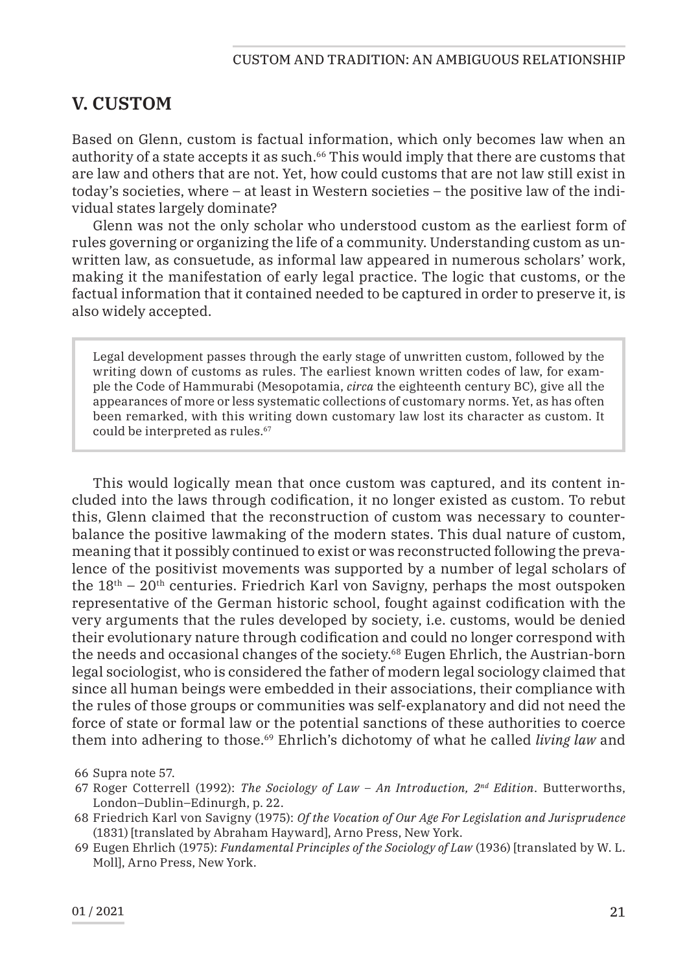# **V. CUSTOM**

Based on Glenn, custom is factual information, which only becomes law when an authority of a state accepts it as such.66 This would imply that there are customs that are law and others that are not. Yet, how could customs that are not law still exist in today's societies, where – at least in Western societies – the positive law of the individual states largely dominate?

Glenn was not the only scholar who understood custom as the earliest form of rules governing or organizing the life of a community. Understanding custom as unwritten law, as consuetude, as informal law appeared in numerous scholars' work, making it the manifestation of early legal practice. The logic that customs, or the factual information that it contained needed to be captured in order to preserve it, is also widely accepted.

Legal development passes through the early stage of unwritten custom, followed by the writing down of customs as rules. The earliest known written codes of law, for example the Code of Hammurabi (Mesopotamia, *circa* the eighteenth century BC), give all the appearances of more or less systematic collections of customary norms. Yet, as has often been remarked, with this writing down customary law lost its character as custom. It could be interpreted as rules.<sup>67</sup>

This would logically mean that once custom was captured, and its content included into the laws through codification, it no longer existed as custom. To rebut this, Glenn claimed that the reconstruction of custom was necessary to counterbalance the positive lawmaking of the modern states. This dual nature of custom, meaning that it possibly continued to exist or was reconstructed following the prevalence of the positivist movements was supported by a number of legal scholars of the  $18<sup>th</sup> - 20<sup>th</sup>$  centuries. Friedrich Karl von Savigny, perhaps the most outspoken representative of the German historic school, fought against codification with the very arguments that the rules developed by society, i.e. customs, would be denied their evolutionary nature through codification and could no longer correspond with the needs and occasional changes of the society.68 Eugen Ehrlich, the Austrian-born legal sociologist, who is considered the father of modern legal sociology claimed that since all human beings were embedded in their associations, their compliance with the rules of those groups or communities was self-explanatory and did not need the force of state or formal law or the potential sanctions of these authorities to coerce them into adhering to those.69 Ehrlich's dichotomy of what he called *living law* and

66 Supra note 57.

- 67 Roger Cotterrell (1992): *The Sociology of Law An Introduction, 2nd Edition*. Butterworths, London–Dublin–Edinurgh, p. 22.
- 68 Friedrich Karl von Savigny (1975): *Of the Vocation of Our Age For Legislation and Jurisprudence*  (1831) [translated by Abraham Hayward], Arno Press, New York.
- 69 Eugen Ehrlich (1975): *Fundamental Principles of the Sociology of Law* (1936) [translated by W. L. Moll], Arno Press, New York.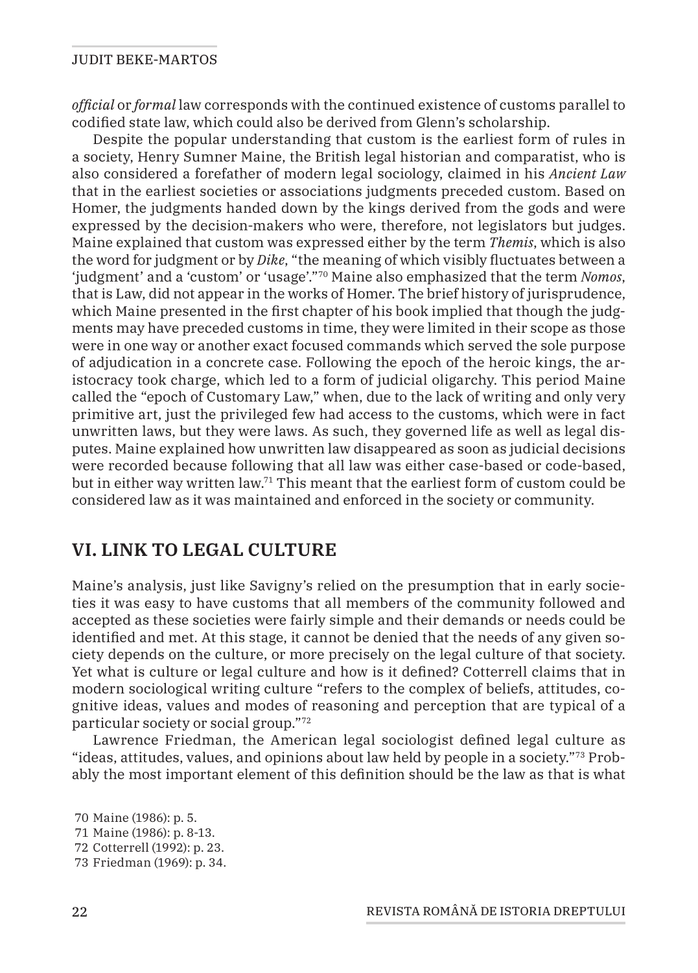*official* or *formal* law corresponds with the continued existence of customs parallel to codified state law, which could also be derived from Glenn's scholarship.

Despite the popular understanding that custom is the earliest form of rules in a society, Henry Sumner Maine, the British legal historian and comparatist, who is also considered a forefather of modern legal sociology, claimed in his *Ancient Law* that in the earliest societies or associations judgments preceded custom. Based on Homer, the judgments handed down by the kings derived from the gods and were expressed by the decision-makers who were, therefore, not legislators but judges. Maine explained that custom was expressed either by the term *Themis*, which is also the word for judgment or by *Dike*, "the meaning of which visibly fluctuates between a 'judgment' and a 'custom' or 'usage'."70 Maine also emphasized that the term *Nomos*, that is Law, did not appear in the works of Homer. The brief history of jurisprudence, which Maine presented in the first chapter of his book implied that though the judgments may have preceded customs in time, they were limited in their scope as those were in one way or another exact focused commands which served the sole purpose of adjudication in a concrete case. Following the epoch of the heroic kings, the aristocracy took charge, which led to a form of judicial oligarchy. This period Maine called the "epoch of Customary Law," when, due to the lack of writing and only very primitive art, just the privileged few had access to the customs, which were in fact unwritten laws, but they were laws. As such, they governed life as well as legal disputes. Maine explained how unwritten law disappeared as soon as judicial decisions were recorded because following that all law was either case-based or code-based, but in either way written law.71 This meant that the earliest form of custom could be considered law as it was maintained and enforced in the society or community.

## **VI. LINK TO LEGAL CULTURE**

Maine's analysis, just like Savigny's relied on the presumption that in early societies it was easy to have customs that all members of the community followed and accepted as these societies were fairly simple and their demands or needs could be identified and met. At this stage, it cannot be denied that the needs of any given society depends on the culture, or more precisely on the legal culture of that society. Yet what is culture or legal culture and how is it defined? Cotterrell claims that in modern sociological writing culture "refers to the complex of beliefs, attitudes, cognitive ideas, values and modes of reasoning and perception that are typical of a particular society or social group."72

Lawrence Friedman, the American legal sociologist defined legal culture as "ideas, attitudes, values, and opinions about law held by people in a society."73 Probably the most important element of this definition should be the law as that is what

<sup>70</sup> Maine (1986): p. 5. 71 Maine (1986): p. 8-13. 72 Cotterrell (1992): p. 23. 73 Friedman (1969): p. 34.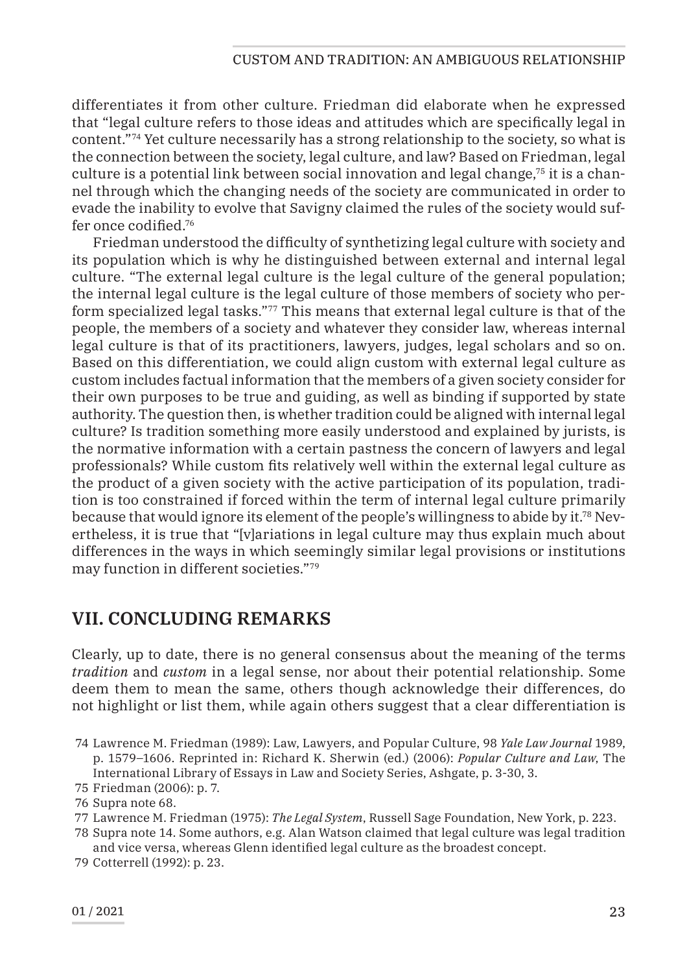differentiates it from other culture. Friedman did elaborate when he expressed that "legal culture refers to those ideas and attitudes which are specifically legal in content."74 Yet culture necessarily has a strong relationship to the society, so what is the connection between the society, legal culture, and law? Based on Friedman, legal culture is a potential link between social innovation and legal change,75 it is a channel through which the changing needs of the society are communicated in order to evade the inability to evolve that Savigny claimed the rules of the society would suffer once codified.76

Friedman understood the difficulty of synthetizing legal culture with society and its population which is why he distinguished between external and internal legal culture. "The external legal culture is the legal culture of the general population; the internal legal culture is the legal culture of those members of society who perform specialized legal tasks."77 This means that external legal culture is that of the people, the members of a society and whatever they consider law, whereas internal legal culture is that of its practitioners, lawyers, judges, legal scholars and so on. Based on this differentiation, we could align custom with external legal culture as custom includes factual information that the members of a given society consider for their own purposes to be true and guiding, as well as binding if supported by state authority. The question then, is whether tradition could be aligned with internal legal culture? Is tradition something more easily understood and explained by jurists, is the normative information with a certain pastness the concern of lawyers and legal professionals? While custom fits relatively well within the external legal culture as the product of a given society with the active participation of its population, tradition is too constrained if forced within the term of internal legal culture primarily because that would ignore its element of the people's willingness to abide by it.78 Nevertheless, it is true that "[v]ariations in legal culture may thus explain much about differences in the ways in which seemingly similar legal provisions or institutions may function in different societies."79

# **VII. CONCLUDING REMARKS**

Clearly, up to date, there is no general consensus about the meaning of the terms *tradition* and *custom* in a legal sense, nor about their potential relationship. Some deem them to mean the same, others though acknowledge their differences, do not highlight or list them, while again others suggest that a clear differentiation is

- 74 Lawrence M. Friedman (1989): Law, Lawyers, and Popular Culture, 98 *Yale Law Journal* 1989, p. 1579–1606. Reprinted in: Richard K. Sherwin (ed.) (2006): *Popular Culture and Law*, The International Library of Essays in Law and Society Series, Ashgate, p. 3-30, 3.
- 75 Friedman (2006): p. 7.

77 Lawrence M. Friedman (1975): *The Legal System*, Russell Sage Foundation, New York, p. 223.

78 Supra note 14. Some authors, e.g. Alan Watson claimed that legal culture was legal tradition and vice versa, whereas Glenn identified legal culture as the broadest concept.

<sup>76</sup> Supra note 68.

<sup>79</sup> Cotterrell (1992): p. 23.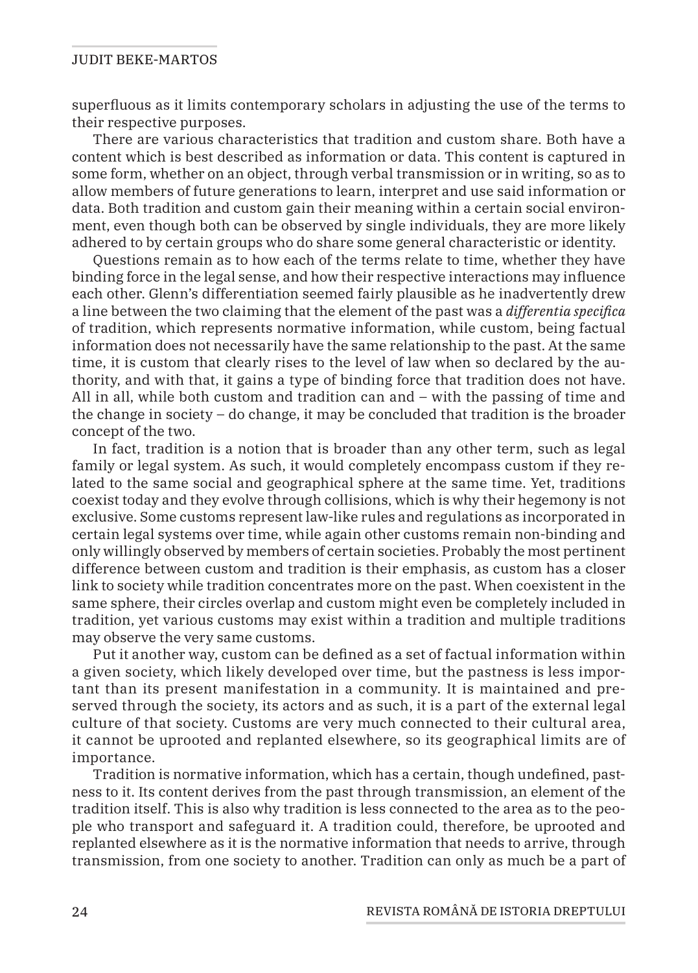superfluous as it limits contemporary scholars in adjusting the use of the terms to their respective purposes.

There are various characteristics that tradition and custom share. Both have a content which is best described as information or data. This content is captured in some form, whether on an object, through verbal transmission or in writing, so as to allow members of future generations to learn, interpret and use said information or data. Both tradition and custom gain their meaning within a certain social environment, even though both can be observed by single individuals, they are more likely adhered to by certain groups who do share some general characteristic or identity.

Questions remain as to how each of the terms relate to time, whether they have binding force in the legal sense, and how their respective interactions may influence each other. Glenn's differentiation seemed fairly plausible as he inadvertently drew a line between the two claiming that the element of the past was a *differentia specifica* of tradition, which represents normative information, while custom, being factual information does not necessarily have the same relationship to the past. At the same time, it is custom that clearly rises to the level of law when so declared by the authority, and with that, it gains a type of binding force that tradition does not have. All in all, while both custom and tradition can and – with the passing of time and the change in society – do change, it may be concluded that tradition is the broader concept of the two.

In fact, tradition is a notion that is broader than any other term, such as legal family or legal system. As such, it would completely encompass custom if they related to the same social and geographical sphere at the same time. Yet, traditions coexist today and they evolve through collisions, which is why their hegemony is not exclusive. Some customs represent law-like rules and regulations as incorporated in certain legal systems over time, while again other customs remain non-binding and only willingly observed by members of certain societies. Probably the most pertinent difference between custom and tradition is their emphasis, as custom has a closer link to society while tradition concentrates more on the past. When coexistent in the same sphere, their circles overlap and custom might even be completely included in tradition, yet various customs may exist within a tradition and multiple traditions may observe the very same customs.

Put it another way, custom can be defined as a set of factual information within a given society, which likely developed over time, but the pastness is less important than its present manifestation in a community. It is maintained and preserved through the society, its actors and as such, it is a part of the external legal culture of that society. Customs are very much connected to their cultural area, it cannot be uprooted and replanted elsewhere, so its geographical limits are of importance.

Tradition is normative information, which has a certain, though undefined, pastness to it. Its content derives from the past through transmission, an element of the tradition itself. This is also why tradition is less connected to the area as to the people who transport and safeguard it. A tradition could, therefore, be uprooted and replanted elsewhere as it is the normative information that needs to arrive, through transmission, from one society to another. Tradition can only as much be a part of